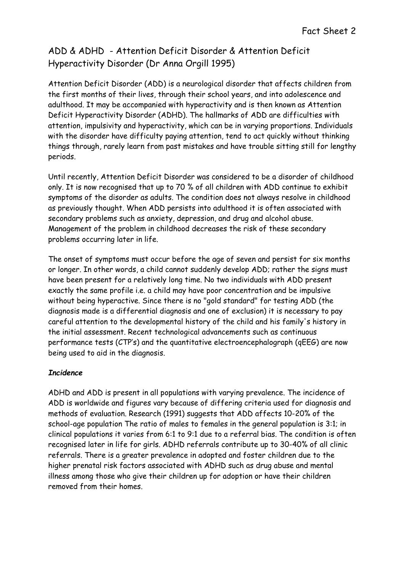Attention Deficit Disorder (ADD) is a neurological disorder that affects children from the first months of their lives, through their school years, and into adolescence and adulthood. It may be accompanied with hyperactivity and is then known as Attention Deficit Hyperactivity Disorder (ADHD). The hallmarks of ADD are difficulties with attention, impulsivity and hyperactivity, which can be in varying proportions. Individuals with the disorder have difficulty paying attention, tend to act quickly without thinking things through, rarely learn from past mistakes and have trouble sitting still for lengthy periods.

Until recently, Attention Deficit Disorder was considered to be a disorder of childhood only. It is now recognised that up to 70 % of all children with ADD continue to exhibit symptoms of the disorder as adults. The condition does not always resolve in childhood as previously thought. When ADD persists into adulthood it is often associated with secondary problems such as anxiety, depression, and drug and alcohol abuse. Management of the problem in childhood decreases the risk of these secondary problems occurring later in life.

The onset of symptoms must occur before the age of seven and persist for six months or longer. In other words, a child cannot suddenly develop ADD; rather the signs must have been present for a relatively long time. No two individuals with ADD present exactly the same profile i.e. a child may have poor concentration and be impulsive without being hyperactive. Since there is no "gold standard" for testing ADD (the diagnosis made is a differential diagnosis and one of exclusion) it is necessary to pay careful attention to the developmental history of the child and his family's history in the initial assessment. Recent technological advancements such as continuous performance tests (CTP's) and the quantitative electroencephalograph (qEEG) are now being used to aid in the diagnosis.

## **Incidence**

ADHD and ADD is present in all populations with varying prevalence. The incidence of ADD is worldwide and figures vary because of differing criteria used for diagnosis and methods of evaluation. Research (1991) suggests that ADD affects 10-20% of the school-age population The ratio of males to females in the general population is 3:1; in clinical populations it varies from 6:1 to 9:1 due to a referral bias. The condition is often recognised later in life for girls. ADHD referrals contribute up to 30-40% of all clinic referrals. There is a greater prevalence in adopted and foster children due to the higher prenatal risk factors associated with ADHD such as drug abuse and mental illness among those who give their children up for adoption or have their children removed from their homes.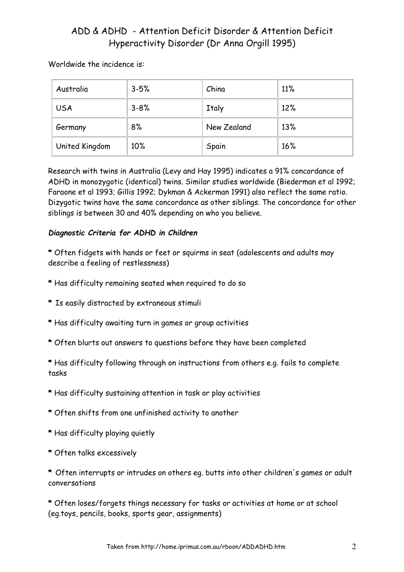#### Worldwide the incidence is:

| Australia      | $3 - 5%$ | China        | 11% |
|----------------|----------|--------------|-----|
| <b>USA</b>     | $3 - 8%$ | <b>Italy</b> | 12% |
| Germany        | 8%       | New Zealand  | 13% |
| United Kingdom | 10%      | Spain        | 16% |

Research with twins in Australia (Levy and Hay 1995) indicates a 91% concordance of ADHD in monozygotic (identical) twins. Similar studies worldwide (Biederman et al 1992; Faraone et al 1993; Gillis 1992; Dykman & Ackerman 1991) also reflect the same ratio. Dizygotic twins have the same concordance as other siblings. The concordance for other siblings is between 30 and 40% depending on who you believe.

#### Diagnostic Criteria for ADHD in Children

- \* Often fidgets with hands or feet or squirms in seat (adolescents and adults may describe a feeling of restlessness)
- \* Has difficulty remaining seated when required to do so
- \* Is easily distracted by extraneous stimuli
- \* Has difficulty awaiting turn in games or group activities
- \* Often blurts out answers to questions before they have been completed
- \* Has difficulty following through on instructions from others e.g. fails to complete tasks
- \* Has difficulty sustaining attention in task or play activities
- \* Often shifts from one unfinished activity to another
- \* Has difficulty playing quietly
- \* Often talks excessively

\* Often interrupts or intrudes on others eg. butts into other children's games or adult conversations

\* Often loses/forgets things necessary for tasks or activities at home or at school (eg.toys, pencils, books, sports gear, assignments)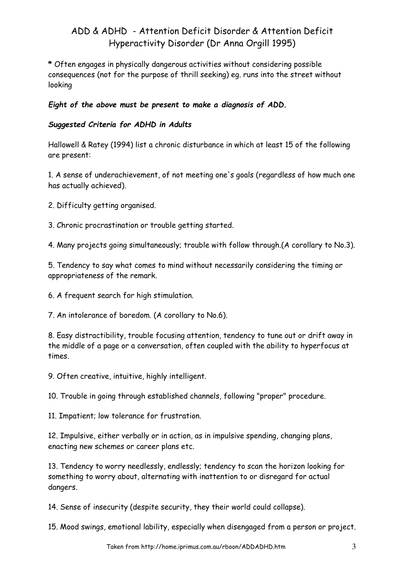\* Often engages in physically dangerous activities without considering possible consequences (not for the purpose of thrill seeking) eg. runs into the street without looking

Eight of the above must be present to make a diagnosis of ADD.

## Suggested Criteria for ADHD in Adults

Hallowell & Ratey (1994) list a chronic disturbance in which at least 15 of the following are present:

1. A sense of underachievement, of not meeting one's goals (regardless of how much one has actually achieved).

2. Difficulty getting organised.

3. Chronic procrastination or trouble getting started.

4. Many projects going simultaneously; trouble with follow through.(A corollary to No.3).

5. Tendency to say what comes to mind without necessarily considering the timing or appropriateness of the remark.

6. A frequent search for high stimulation.

7. An intolerance of boredom. (A corollary to No.6).

8. Easy distractibility, trouble focusing attention, tendency to tune out or drift away in the middle of a page or a conversation, often coupled with the ability to hyperfocus at times.

9. Often creative, intuitive, highly intelligent.

10. Trouble in going through established channels, following "proper" procedure.

11. Impatient; low tolerance for frustration.

12. Impulsive, either verbally or in action, as in impulsive spending, changing plans, enacting new schemes or career plans etc.

13. Tendency to worry needlessly, endlessly; tendency to scan the horizon looking for something to worry about, alternating with inattention to or disregard for actual dangers.

14. Sense of insecurity (despite security, they their world could collapse).

15. Mood swings, emotional lability, especially when disengaged from a person or project.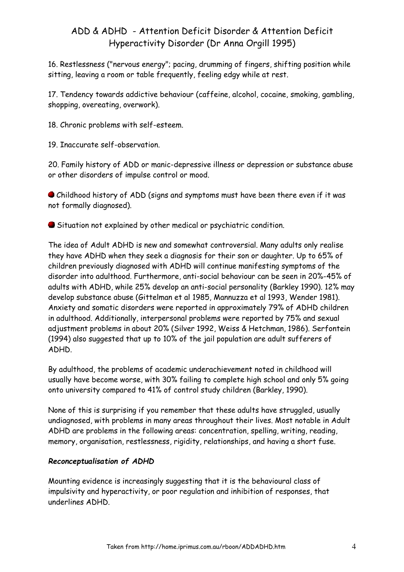16. Restlessness ("nervous energy"; pacing, drumming of fingers, shifting position while sitting, leaving a room or table frequently, feeling edgy while at rest.

17. Tendency towards addictive behaviour (caffeine, alcohol, cocaine, smoking, gambling, shopping, overeating, overwork).

18. Chronic problems with self-esteem.

19. Inaccurate self-observation.

20. Family history of ADD or manic-depressive illness or depression or substance abuse or other disorders of impulse control or mood.

 Childhood history of ADD (signs and symptoms must have been there even if it was not formally diagnosed).

Situation not explained by other medical or psychiatric condition.

The idea of Adult ADHD is new and somewhat controversial. Many adults only realise they have ADHD when they seek a diagnosis for their son or daughter. Up to 65% of children previously diagnosed with ADHD will continue manifesting symptoms of the disorder into adulthood. Furthermore, anti-social behaviour can be seen in 20%-45% of adults with ADHD, while 25% develop an anti-social personality (Barkley 1990). 12% may develop substance abuse (Gittelman et al 1985, Mannuzza et al 1993, Wender 1981). Anxiety and somatic disorders were reported in approximately 79% of ADHD children in adulthood. Additionally, interpersonal problems were reported by 75% and sexual adjustment problems in about 20% (Silver 1992, Weiss & Hetchman, 1986). Serfontein (1994) also suggested that up to 10% of the jail population are adult sufferers of ADHD.

By adulthood, the problems of academic underachievement noted in childhood will usually have become worse, with 30% failing to complete high school and only 5% going onto university compared to 41% of control study children (Barkley, 1990).

None of this is surprising if you remember that these adults have struggled, usually undiagnosed, with problems in many areas throughout their lives. Most notable in Adult ADHD are problems in the following areas: concentration, spelling, writing, reading, memory, organisation, restlessness, rigidity, relationships, and having a short fuse.

## Reconceptualisation of ADHD

Mounting evidence is increasingly suggesting that it is the behavioural class of impulsivity and hyperactivity, or poor regulation and inhibition of responses, that underlines ADHD.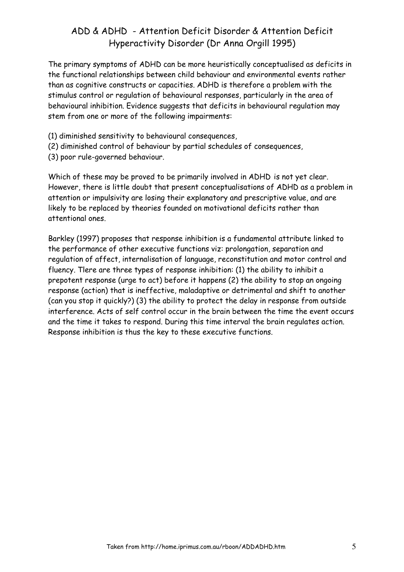The primary symptoms of ADHD can be more heuristically conceptualised as deficits in the functional relationships between child behaviour and environmental events rather than as cognitive constructs or capacities. ADHD is therefore a problem with the stimulus control or regulation of behavioural responses, particularly in the area of behavioural inhibition. Evidence suggests that deficits in behavioural regulation may stem from one or more of the following impairments:

- (1) diminished sensitivity to behavioural consequences,
- (2) diminished control of behaviour by partial schedules of consequences,
- (3) poor rule-governed behaviour.

Which of these may be proved to be primarily involved in ADHD is not yet clear. However, there is little doubt that present conceptualisations of ADHD as a problem in attention or impulsivity are losing their explanatory and prescriptive value, and are likely to be replaced by theories founded on motivational deficits rather than attentional ones.

Barkley (1997) proposes that response inhibition is a fundamental attribute linked to the performance of other executive functions viz: prolongation, separation and regulation of affect, internalisation of language, reconstitution and motor control and fluency. Tlere are three types of response inhibition: (1) the ability to inhibit a prepotent response (urge to act) before it happens (2) the ability to stop an ongoing response (action) that is ineffective, maladaptive or detrimental and shift to another (can you stop it quickly?) (3) the ability to protect the delay in response from outside interference. Acts of self control occur in the brain between the time the event occurs and the time it takes to respond. During this time interval the brain regulates action. Response inhibition is thus the key to these executive functions.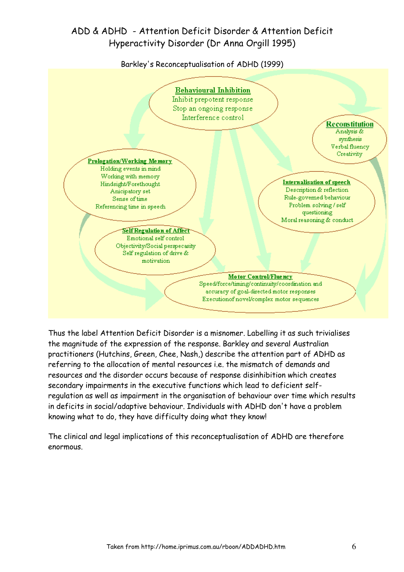Barkley's Reconceptualisation of ADHD (1999)



Thus the label Attention Deficit Disorder is a misnomer. Labelling it as such trivialises the magnitude of the expression of the response. Barkley and several Australian practitioners (Hutchins, Green, Chee, Nash,) describe the attention part of ADHD as referring to the allocation of mental resources i.e. the mismatch of demands and resources and the disorder occurs because of response disinhibition which creates secondary impairments in the executive functions which lead to deficient selfregulation as well as impairment in the organisation of behaviour over time which results in deficits in social/adaptive behaviour. Individuals with ADHD don't have a problem knowing what to do, they have difficulty doing what they know!

The clinical and legal implications of this reconceptualisation of ADHD are therefore enormous.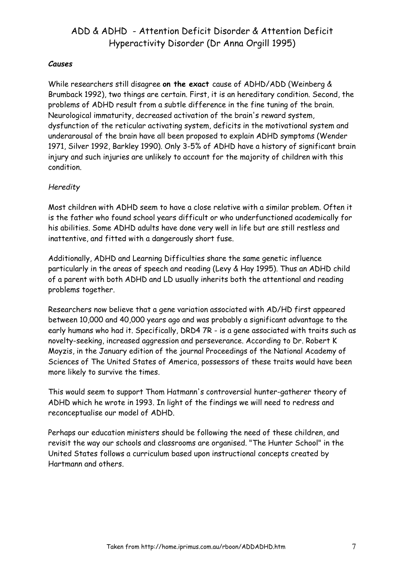#### Causes

While researchers still disagree on the exact cause of ADHD/ADD (Weinberg & Brumback 1992), two things are certain. First, it is an hereditary condition. Second, the problems of ADHD result from a subtle difference in the fine tuning of the brain. Neurological immaturity, decreased activation of the brain's reward system, dysfunction of the reticular activating system, deficits in the motivational system and underarousal of the brain have all been proposed to explain ADHD symptoms (Wender 1971, Silver 1992, Barkley 1990). Only 3-5% of ADHD have a history of significant brain injury and such injuries are unlikely to account for the majority of children with this condition.

## **Heredity**

Most children with ADHD seem to have a close relative with a similar problem. Often it is the father who found school years difficult or who underfunctioned academically for his abilities. Some ADHD adults have done very well in life but are still restless and inattentive, and fitted with a dangerously short fuse.

Additionally, ADHD and Learning Difficulties share the same genetic influence particularly in the areas of speech and reading (Levy & Hay 1995). Thus an ADHD child of a parent with both ADHD and LD usually inherits both the attentional and reading problems together.

Researchers now believe that a gene variation associated with AD/HD first appeared between 10,000 and 40,000 years ago and was probably a significant advantage to the early humans who had it. Specifically, DRD4 7R - is a gene associated with traits such as novelty-seeking, increased aggression and perseverance. According to Dr. Robert K Moyzis, in the January edition of the journal Proceedings of the National Academy of Sciences of The United States of America, possessors of these traits would have been more likely to survive the times.

This would seem to support Thom Hatmann's controversial hunter-gatherer theory of ADHD which he wrote in 1993. In light of the findings we will need to redress and reconceptualise our model of ADHD.

Perhaps our education ministers should be following the need of these children, and revisit the way our schools and classrooms are organised. "The Hunter School" in the United States follows a curriculum based upon instructional concepts created by Hartmann and others.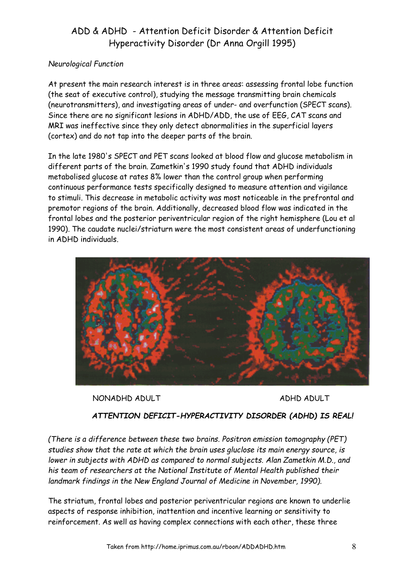## Neurological Function

At present the main research interest is in three areas: assessing frontal lobe function (the seat of executive control), studying the message transmitting brain chemicals (neurotransmitters), and investigating areas of under- and overfunction (SPECT scans). Since there are no significant lesions in ADHD/ADD, the use of EEG, CAT scans and MRI was ineffective since they only detect abnormalities in the superficial layers (cortex) and do not tap into the deeper parts of the brain.

In the late 1980's SPECT and PET scans looked at blood flow and glucose metabolism in different parts of the brain. Zametkin's 1990 study found that ADHD individuals metabolised glucose at rates 8% lower than the control group when performing continuous performance tests specifically designed to measure attention and vigilance to stimuli. This decrease in metabolic activity was most noticeable in the prefrontal and premotor regions of the brain. Additionally, decreased blood flow was indicated in the frontal lobes and the posterior periventricular region of the right hemisphere (Lou et al 1990). The caudate nuclei/striaturn were the most consistent areas of underfunctioning in ADHD individuals.



NONADHD ADULT ADHD ADULT

## ATTENTION DEFICIT-HYPERACTIVITY DISORDER (ADHD) IS REAL!

(There is a difference between these two brains. Positron emission tomography (PET) studies show that the rate at which the brain uses gluclose its main energy source, is lower in subjects with ADHD as compared to normal subjects. Alan Zametkin M.D., and his team of researchers at the National Institute of Mental Health published their landmark findings in the New England Journal of Medicine in November, 1990).

The striatum, frontal lobes and posterior periventricular regions are known to underlie aspects of response inhibition, inattention and incentive learning or sensitivity to reinforcement. As well as having complex connections with each other, these three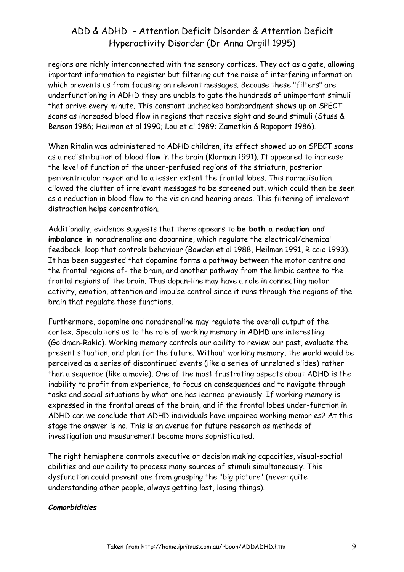regions are richly interconnected with the sensory cortices. They act as a gate, allowing important information to register but filtering out the noise of interfering information which prevents us from focusing on relevant messages. Because these "filters" are underfunctioning in ADHD they are unable to gate the hundreds of unimportant stimuli that arrive every minute. This constant unchecked bombardment shows up on SPECT scans as increased blood flow in regions that receive sight and sound stimuli (Stuss & Benson 1986; Heilman et al 1990; Lou et al 1989; Zametkin & Rapoport 1986).

When Ritalin was administered to ADHD children, its effect showed up on SPECT scans as a redistribution of blood flow in the brain (Klorman 1991). It appeared to increase the level of function of the under-perfused regions of the striaturn, posterior periventricular region and to a lesser extent the frontal lobes. This normalisation allowed the clutter of irrelevant messages to be screened out, which could then be seen as a reduction in blood flow to the vision and hearing areas. This filtering of irrelevant distraction helps concentration.

Additionally, evidence suggests that there appears to be both a reduction and imbalance in noradrenaline and doparnine, which regulate the electrical/chemical feedback, loop that controls behaviour (Bowden et al 1988, Heilman 1991, Riccio 1993). It has been suggested that dopamine forms a pathway between the motor centre and the frontal regions of- the brain, and another pathway from the limbic centre to the frontal regions of the brain. Thus dopan-line may have a role in connecting motor activity, emotion, attention and impulse control since it runs through the regions of the brain that regulate those functions.

Furthermore, dopamine and noradrenaline may regulate the overall output of the cortex. Speculations as to the role of working memory in ADHD are interesting (Goldman-Rakic). Working memory controls our ability to review our past, evaluate the present situation, and plan for the future. Without working memory, the world would be perceived as a series of discontinued events (like a series of unrelated slides) rather than a sequence (like a movie). One of the most frustrating aspects about ADHD is the inability to profit from experience, to focus on consequences and to navigate through tasks and social situations by what one has learned previously. If working memory is expressed in the frontal areas of the brain, and if the frontal lobes under-function in ADHD can we conclude that ADHD individuals have impaired working memories? At this stage the answer is no. This is an avenue for future research as methods of investigation and measurement become more sophisticated.

The right hemisphere controls executive or decision making capacities, visual-spatial abilities and our ability to process many sources of stimuli simultaneously. This dysfunction could prevent one from grasping the "big picture" (never quite understanding other people, always getting lost, losing things).

#### Comorbidities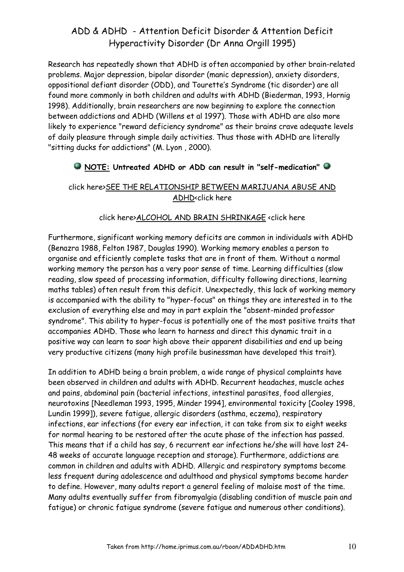Research has repeatedly shown that ADHD is often accompanied by other brain-related problems. Major depression, bipolar disorder (manic depression), anxiety disorders, oppositional defiant disorder (ODD), and Tourette's Syndrome (tic disorder) are all found more commonly in both children and adults with ADHD (Biederman, 1993, Hornig 1998). Additionally, brain researchers are now beginning to explore the connection between addictions and ADHD (Willens et al 1997). Those with ADHD are also more likely to experience "reward deficiency syndrome" as their brains crave adequate levels of daily pleasure through simple daily activities. Thus those with ADHD are literally "sitting ducks for addictions" (M. Lyon , 2000).

## NOTE: Untreated ADHD or ADD can result in "self-medication"

## click here>SEE THE RELATIONSHIP BETWEEN MARIJUANA ABUSE AND ADHD<click here

## click here>ALCOHOL AND BRAIN SHRINKAGE <click here

Furthermore, significant working memory deficits are common in individuals with ADHD (Benazra 1988, Felton 1987, Douglas 1990). Working memory enables a person to organise and efficiently complete tasks that are in front of them. Without a normal working memory the person has a very poor sense of time. Learning difficulties (slow reading, slow speed of processing information, difficulty following directions, learning maths tables) often result from this deficit. Unexpectedly, this lack of working memory is accompanied with the ability to "hyper-focus" on things they are interested in to the exclusion of everything else and may in part explain the "absent-minded professor syndrome". This ability to hyper-focus is potentially one of the most positive traits that accompanies ADHD. Those who learn to harness and direct this dynamic trait in a positive way can learn to soar high above their apparent disabilities and end up being very productive citizens (many high profile businessman have developed this trait).

In addition to ADHD being a brain problem, a wide range of physical complaints have been observed in children and adults with ADHD. Recurrent headaches, muscle aches and pains, abdominal pain (bacterial infections, intestinal parasites, food allergies, neurotoxins [Needleman 1993, 1995, Minder 1994], environmental toxicity [Cooley 1998, Lundin 1999]), severe fatigue, allergic disorders (asthma, eczema), respiratory infections, ear infections (for every ear infection, it can take from six to eight weeks for normal hearing to be restored after the acute phase of the infection has passed. This means that if a child has say, 6 recurrent ear infections he/she will have lost 24- 48 weeks of accurate language reception and storage). Furthermore, addictions are common in children and adults with ADHD. Allergic and respiratory symptoms become less frequent during adolescence and adulthood and physical symptoms become harder to define. However, many adults report a general feeling of malaise most of the time. Many adults eventually suffer from fibromyalgia (disabling condition of muscle pain and fatigue) or chronic fatigue syndrome (severe fatigue and numerous other conditions).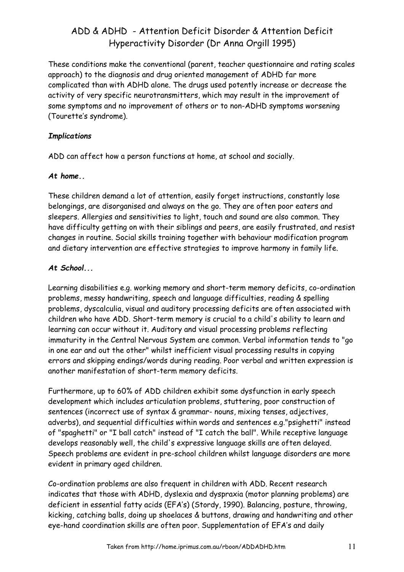These conditions make the conventional (parent, teacher questionnaire and rating scales approach) to the diagnosis and drug oriented management of ADHD far more complicated than with ADHD alone. The drugs used potently increase or decrease the activity of very specific neurotransmitters, which may result in the improvement of some symptoms and no improvement of others or to non-ADHD symptoms worsening (Tourette's syndrome).

## **Implications**

ADD can affect how a person functions at home, at school and socially.

#### At home..

These children demand a lot of attention, easily forget instructions, constantly lose belongings, are disorganised and always on the go. They are often poor eaters and sleepers. Allergies and sensitivities to light, touch and sound are also common. They have difficulty getting on with their siblings and peers, are easily frustrated, and resist changes in routine. Social skills training together with behaviour modification program and dietary intervention are effective strategies to improve harmony in family life.

#### At School...

Learning disabilities e.g. working memory and short-term memory deficits, co-ordination problems, messy handwriting, speech and language difficulties, reading & spelling problems, dyscalculia, visual and auditory processing deficits are often associated with children who have ADD. Short-term memory is crucial to a child's ability to learn and learning can occur without it. Auditory and visual processing problems reflecting immaturity in the Central Nervous System are common. Verbal information tends to "go in one ear and out the other" whilst inefficient visual processing results in copying errors and skipping endings/words during reading. Poor verbal and written expression is another manifestation of short-term memory deficits.

Furthermore, up to 60% of ADD children exhibit some dysfunction in early speech development which includes articulation problems, stuttering, poor construction of sentences (incorrect use of syntax & grammar- nouns, mixing tenses, adjectives, adverbs), and sequential difficulties within words and sentences e.g."psighetti" instead of "spaghetti" or "I ball catch" instead of "I catch the ball". While receptive language develops reasonably well, the child's expressive language skills are often delayed. Speech problems are evident in pre-school children whilst language disorders are more evident in primary aged children.

Co-ordination problems are also frequent in children with ADD. Recent research indicates that those with ADHD, dyslexia and dyspraxia (motor planning problems) are deficient in essential fatty acids (EFA's) (Stordy, 1990). Balancing, posture, throwing, kicking, catching balls, doing up shoelaces & buttons, drawing and handwriting and other eye-hand coordination skills are often poor. Supplementation of EFA's and daily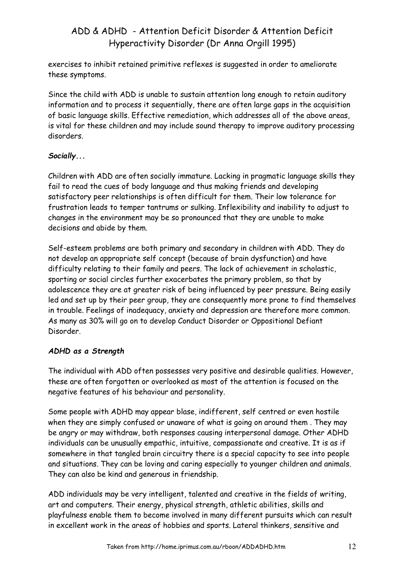exercises to inhibit retained primitive reflexes is suggested in order to ameliorate these symptoms.

Since the child with ADD is unable to sustain attention long enough to retain auditory information and to process it sequentially, there are often large gaps in the acquisition of basic language skills. Effective remediation, which addresses all of the above areas, is vital for these children and may include sound therapy to improve auditory processing disorders.

## Socially...

Children with ADD are often socially immature. Lacking in pragmatic language skills they fail to read the cues of body language and thus making friends and developing satisfactory peer relationships is often difficult for them. Their low tolerance for frustration leads to temper tantrums or sulking. Inflexibility and inability to adjust to changes in the environment may be so pronounced that they are unable to make decisions and abide by them.

Self-esteem problems are both primary and secondary in children with ADD. They do not develop an appropriate self concept (because of brain dysfunction) and have difficulty relating to their family and peers. The lack of achievement in scholastic, sporting or social circles further exacerbates the primary problem, so that by adolescence they are at greater risk of being influenced by peer pressure. Being easily led and set up by their peer group, they are consequently more prone to find themselves in trouble. Feelings of inadequacy, anxiety and depression are therefore more common. As many as 30% will go on to develop Conduct Disorder or Oppositional Defiant Disorder.

## ADHD as a Strength

The individual with ADD often possesses very positive and desirable qualities. However, these are often forgotten or overlooked as most of the attention is focused on the negative features of his behaviour and personality.

Some people with ADHD may appear blase, indifferent, self centred or even hostile when they are simply confused or unaware of what is going on around them . They may be angry or may withdraw, both responses causing interpersonal damage. Other ADHD individuals can be unusually empathic, intuitive, compassionate and creative. It is as if somewhere in that tangled brain circuitry there is a special capacity to see into people and situations. They can be loving and caring especially to younger children and animals. They can also be kind and generous in friendship.

ADD individuals may be very intelligent, talented and creative in the fields of writing, art and computers. Their energy, physical strength, athletic abilities, skills and playfulness enable them to become involved in many different pursuits which can result in excellent work in the areas of hobbies and sports. Lateral thinkers, sensitive and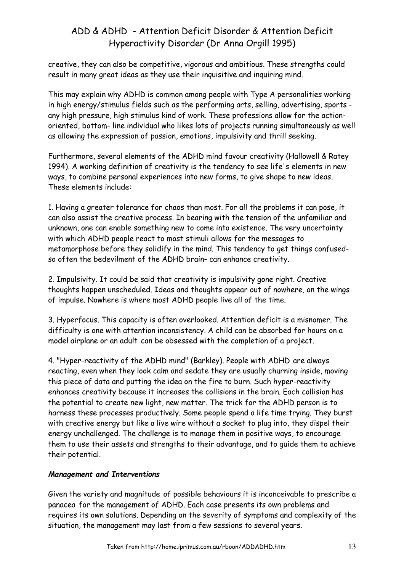creative, they can also be competitive, vigorous and ambitious. These strengths could result in many great ideas as they use their inquisitive and inquiring mind.

This may explain why ADHD is common among people with Type A personalities working in high energy/stimulus fields such as the performing arts, selling, advertising, sports any high pressure, high stimulus kind of work. These professions allow for the actionoriented, bottom- line individual who likes lots of projects running simultaneously as well as allowing the expression of passion, emotions, impulsivity and thrill seeking.

Furthermore, several elements of the ADHD mind favour creativity (Hallowell & Ratey 1994). A working definition of creativity is the tendency to see life's elements in new ways, to combine personal experiences into new forms, to give shape to new ideas. These elements include:

1. Having a greater tolerance for chaos than most. For all the problems it can pose, it can also assist the creative process. In bearing with the tension of the unfamiliar and unknown, one can enable something new to come into existence. The very uncertainty with which ADHD people react to most stimuli allows for the messages to metamorphose before they solidify in the mind. This tendency to get things confusedso often the bedevilment of the ADHD brain- can enhance creativity.

2. Impulsivity. It could be said that creativity is impulsivity gone right. Creative thoughts happen unscheduled. Ideas and thoughts appear out of nowhere, on the wings of impulse. Nowhere is where most ADHD people live all of the time.

3. Hyperfocus. This capacity is often overlooked. Attention deficit is a misnomer. The difficulty is one with attention inconsistency. A child can be absorbed for hours on a model airplane or an adult can be obsessed with the completion of a project.

4. "Hyper-reactivity of the ADHD mind" (Barkley). People with ADHD are always reacting, even when they look calm and sedate they are usually churning inside, moving this piece of data and putting the idea on the fire to burn. Such hyper-reactivity enhances creativity because it increases the collisions in the brain. Each collision has the potential to create new light, new matter. The trick for the ADHD person is to harness these processes productively. Some people spend a life time trying. They burst with creative energy but like a live wire without a socket to plug into, they dispel their energy unchallenged. The challenge is to manage them in positive ways, to encourage them to use their assets and strengths to their advantage, and to guide them to achieve their potential.

## Management and Interventions

Given the variety and magnitude of possible behaviours it is inconceivable to prescribe a panacea for the management of ADHD. Each case presents its own problems and requires its own solutions. Depending on the severity of symptoms and complexity of the situation, the management may last from a few sessions to several years.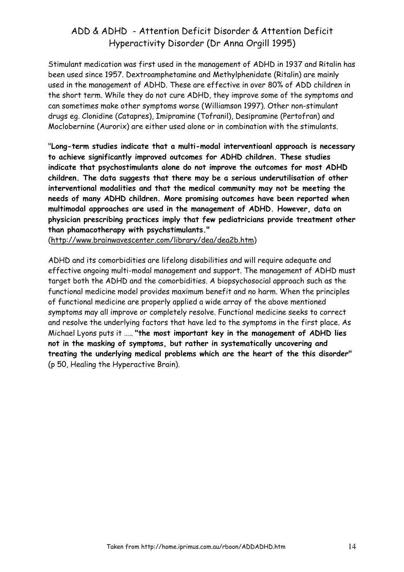Stimulant medication was first used in the management of ADHD in 1937 and Ritalin has been used since 1957. Dextroamphetamine and Methylphenidate (Ritalin) are mainly used in the management of ADHD. These are effective in over 80% of ADD children in the short term. While they do not cure ADHD, they improve some of the symptoms and can sometimes make other symptoms worse (Williamson 1997). Other non-stimulant drugs eg. Clonidine (Catapres), Imipramine (Tofranil), Desipramine (Pertofran) and Moclobernine (Aurorix) are either used alone or in combination with the stimulants.

"Long-term studies indicate that a multi-modal interventioanl approach is necessary to achieve significantly improved outcomes for ADHD children. These studies indicate that psychostimulants alone do not improve the outcomes for most ADHD children. The data suggests that there may be a serious underutilisation of other interventional modalities and that the medical community may not be meeting the needs of many ADHD children. More promising outcomes have been reported when multimodal approaches are used in the management of ADHD. However, data on physician prescribing practices imply that few pediatricians provide treatment other than phamacotherapy with psychstimulants."

(http://www.brainwavescenter.com/library/dea/dea2b.htm)

ADHD and its comorbidities are lifelong disabilities and will require adequate and effective ongoing multi-modal management and support. The management of ADHD must target both the ADHD and the comorbidities. A biopsychosocial approach such as the functional medicine model provides maximum benefit and no harm. When the principles of functional medicine are properly applied a wide array of the above mentioned symptoms may all improve or completely resolve. Functional medicine seeks to correct and resolve the underlying factors that have led to the symptoms in the first place. As Michael Lyons puts it ….. "the most important key in the management of ADHD lies not in the masking of symptoms, but rather in systematically uncovering and treating the underlying medical problems which are the heart of the this disorder" (p 50, Healing the Hyperactive Brain).